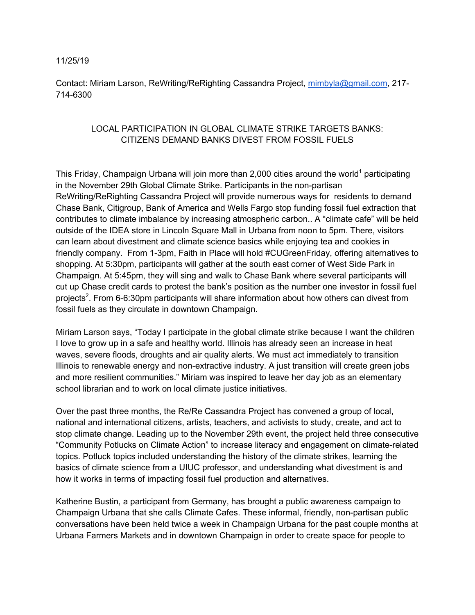## 11/25/19

Contact: Miriam Larson, ReWriting/ReRighting Cassandra Project, mimbyla@gmail.com, 217- 714-6300

## LOCAL PARTICIPATION IN GLOBAL CLIMATE STRIKE TARGETS BANKS: CITIZENS DEMAND BANKS DIVEST FROM FOSSIL FUELS

This Friday, Champaign Urbana will join more than 2,000 cities around the world<sup>1</sup> participating in the November 29th Global Climate Strike. Participants in the non-partisan ReWriting/ReRighting Cassandra Project will provide numerous ways for residents to demand Chase Bank, Citigroup, Bank of America and Wells Fargo stop funding fossil fuel extraction that contributes to climate imbalance by increasing atmospheric carbon.. A "climate cafe" will be held outside of the IDEA store in Lincoln Square Mall in Urbana from noon to 5pm. There, visitors can learn about divestment and climate science basics while enjoying tea and cookies in friendly company. From 1-3pm, Faith in Place will hold #CUGreenFriday, offering alternatives to shopping. At 5:30pm, participants will gather at the south east corner of West Side Park in Champaign. At 5:45pm, they will sing and walk to Chase Bank where several participants will cut up Chase credit cards to protest the bank's position as the number one investor in fossil fuel projects<sup>2</sup>. From 6-6:30pm participants will share information about how others can divest from fossil fuels as they circulate in downtown Champaign.

Miriam Larson says, "Today I participate in the global climate strike because I want the children I love to grow up in a safe and healthy world. Illinois has already seen an increase in heat waves, severe floods, droughts and air quality alerts. We must act immediately to transition Illinois to renewable energy and non-extractive industry. A just transition will create green jobs and more resilient communities." Miriam was inspired to leave her day job as an elementary school librarian and to work on local climate justice initiatives.

Over the past three months, the Re/Re Cassandra Project has convened a group of local, national and international citizens, artists, teachers, and activists to study, create, and act to stop climate change. Leading up to the November 29th event, the project held three consecutive "Community Potlucks on Climate Action" to increase literacy and engagement on climate-related topics. Potluck topics included understanding the history of the climate strikes, learning the basics of climate science from a UIUC professor, and understanding what divestment is and how it works in terms of impacting fossil fuel production and alternatives.

Katherine Bustin, a participant from Germany, has brought a public awareness campaign to Champaign Urbana that she calls Climate Cafes. These informal, friendly, non-partisan public conversations have been held twice a week in Champaign Urbana for the past couple months at Urbana Farmers Markets and in downtown Champaign in order to create space for people to